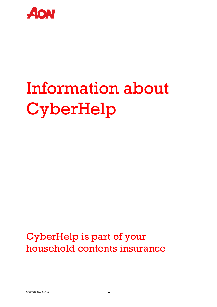

# Information about CyberHelp

### CyberHelp is part of your household contents insurance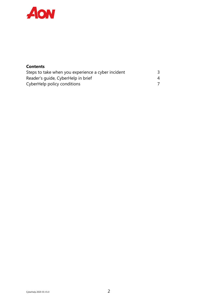

#### **Contents**

| Steps to take when you experience a cyber incident |  |
|----------------------------------------------------|--|
| Reader's guide, CyberHelp in brief                 |  |
| CyberHelp policy conditions                        |  |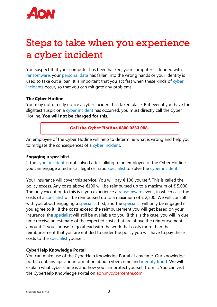

### Steps to take when you experience a cyber incident

You suspect that your computer has been hacked, your computer is flooded with ransomware, your personal data has fallen into the wrong hands or your identity is used to take out a loan. It is important that you act fast when these kinds of cyber incidents occur, so that you can mitigate any problems.

#### **The Cyber Hotline**

You may not directly notice a cyber incident has taken place. But even if you have the slightest suspicion a cyber incident has occurred, you must directly call the Cyber Hotline. **You will not be charged for this.**

**Call the Cyber Hotline 0800 0233 088.**

An employee of the Cyber Hotline will help to determine what is wrong and help you to mitigate the consequences of a cyber incident.

#### **Engaging a specialist**

If the cyber incident is not solved after talking to an employee of the Cyber Hotline, you can engage a technical, legal or fraud specialist to solve the cyber incident.

Your insurance will cover this service. You will pay  $\epsilon$  100 yourself. This is called the policy excess. Any costs above  $\epsilon$ 100 will be reimbursed up to a maximum of  $\epsilon$  5,000. The only exception to this is if you experience a ransomware event, in which case the costs of a specialist will be reimbursed up to a maximum of  $\epsilon$  2,500. We will consult with you about engaging a specialist first, and the specialist will only be engaged if you agree to it. If the costs exceed the reimbursement you will get based on your insurance, the specialist will still be available to you. If this is the case, you will in due time receive an estimate of the expected costs that are above the reimbursement amount. If you choose to go ahead with the work that costs more than the reimbursement that you are entitled to under the policy you will have to pay these costs to the specialist yourself.

#### **CyberHelp Knowledge Portal**

You can make use of the CyberHelp Knowledge Portal at any time. Our knowledge portal contains tips and information about cyber crime and identity fraud. We will explain what cyber crime is and how you can protect yourself from it. You can visit the CyberHelp Knowledge Portal on aon.mycybercentre.com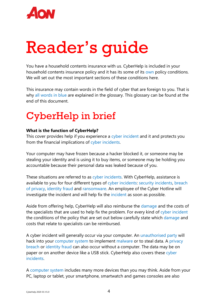

# Reader's guide

You have a household contents insurance with us. CyberHelp is included in your household contents insurance policy and it has its some of its own policy conditions. We will set out the most important sections of these conditions here.

This insurance may contain words in the field of cyber that are foreign to you. That is why all words in blue are explained in the glossary. This glossary can be found at the end of this document.

## CyberHelp in brief

#### **What is the function of CyberHelp?**

This cover provides help if you experience a cyber incident and it and protects you from the financial implications of cyber incidents.

Your computer may have frozen because a hacker blocked it, or someone may be stealing your identity and is using it to buy items, or someone may be holding you accountable because their personal data was leaked because of you.

These situations are referred to as cyber incidents. With CyberHelp, assistance is available to you for four different types of cyber incidents: security incidents, breach of privacy, identity fraud and ransomware. An employee of the Cyber Hotline will investigate the incident and will help fix the incident as soon as possible.

Aside from offering help, CyberHelp will also reimburse the damage and the costs of the specialists that are used to help fix the problem. For every kind of cyber incident the conditions of the policy that are set out below carefully state which damage and costs that relate to specialists can be reimbursed.

A cyber incident will generally occur via your computer. An unauthorised party will hack into your computer system to implement malware or to steal data. A privacy breach or identity fraud can also occur without a computer. The data may be on paper or on another device like a USB stick. CyberHelp also covers these cyber incidents.

A computer system includes many more devices than you may think. Aside from your PC, laptop or tablet, your smartphone, smartwatch and games consoles are also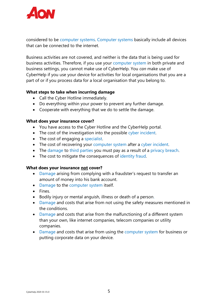

considered to be computer systems. Computer systems basically include all devices that can be connected to the internet.

Business activities are not covered, and neither is the data that is being used for business activities. Therefore, if you use your computer system in both private and business settings, you cannot make use of CyberHelp. You *can* make use of CyberHelp if you use your device for activities for local organisations that you are a part of or if you process data for a local organisation that you belong to.

#### **What steps to take when incurring damage**

- Call the Cyber Hotline immediately.
- Do everything within your power to prevent any further damage.
- Cooperate with everything that we do to settle the damage.

#### **What does your insurance cover?**

- You have access to the Cyber Hotline and the CyberHelp portal.
- The cost of the investigation into the possible cyber incident.
- The cost of engaging a specialist.
- The cost of recovering your computer system after a cyber incident.
- The damage to third parties you must pay as a result of a privacy breach.
- The cost to mitigate the consequences of identity fraud.

#### **What does your insurance not cover?**

- Damage arising from complying with a fraudster's request to transfer an amount of money into his bank account.
- Damage to the computer system itself.
- Fines.
- Bodily injury or mental anguish, illness or death of a person.
- Damage and costs that arise from not using the safety measures mentioned in the conditions.
- Damage and costs that arise from the malfunctioning of a different system than your own, like internet companies, telecom companies or utility companies.
- Damage and costs that arise from using the computer system for business or putting corporate data on your device.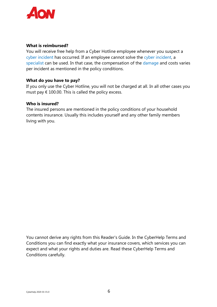

#### **What is reimbursed?**

You will receive free help from a Cyber Hotline employee whenever you suspect a cyber incident has occurred. If an employee cannot solve the cyber incident, a specialist can be used. In that case, the compensation of the damage and costs varies per incident as mentioned in the policy conditions.

#### **What do you have to pay?**

If you only use the Cyber Hotline, you will not be charged at all. In all other cases you must pay  $\epsilon$  100.00. This is called the policy excess.

#### **Who is insured?**

The insured persons are mentioned in the policy conditions of your household contents insurance. Usually this includes yourself and any other family members living with you.

You cannot derive any rights from this Reader's Guide. In the CyberHelp Terms and Conditions you can find exactly what your insurance covers, which services you can expect and what your rights and duties are. Read these CyberHelp Terms and Conditions carefully.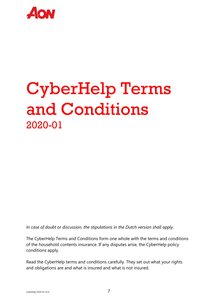

## CyberHelp Terms and Conditions 2020-01

*In case of doubt or discussion, the stipulations in the Dutch version shall apply.*

The CyberHelp Terms and Conditions form one whole with the terms and conditions of the household contents insurance. If any disputes arise, the CyberHelp policy conditions apply.

Read the CyberHelp terms and conditions carefully. They set out what your rights and obligations are and what is insured and what is not insured.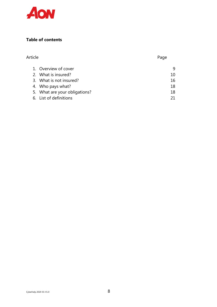

#### **Table of contents**

| Article |                               | Page |
|---------|-------------------------------|------|
|         | 1. Overview of cover          | 9    |
|         | 2. What is insured?           | 10   |
|         | 3. What is not insured?       | 16   |
|         | 4. Who pays what?             | 18   |
|         | 5. What are your obligations? | 18   |
|         | 6. List of definitions        |      |
|         |                               |      |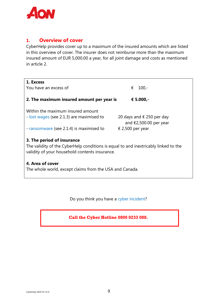

#### **1. Overview of cover**

CyberHelp provides cover up to a maximum of the insured amounts which are listed in this overview of cover. The insurer does not reimburse more than the maximum insured amount of EUR 5,000.00 a year, for all joint damage and costs as mentioned in article 2.

| 1. Excess                                                                           |                           |  |  |  |
|-------------------------------------------------------------------------------------|---------------------------|--|--|--|
| You have an excess of                                                               | €<br>$100 -$              |  |  |  |
|                                                                                     |                           |  |  |  |
| 2. The maximum insured amount per year is<br>€ 5.000,-                              |                           |  |  |  |
|                                                                                     |                           |  |  |  |
| Within the maximum insured amount                                                   |                           |  |  |  |
| - lost wages (see 2.1.3) are maximised to                                           | 20 days and € 250 per day |  |  |  |
|                                                                                     | and $£2,500.00$ per year  |  |  |  |
| - ransomware (see 2.1.4) is maximised to                                            | € 2,500 per year          |  |  |  |
|                                                                                     |                           |  |  |  |
| 3. The period of insurance                                                          |                           |  |  |  |
| The validity of the CyberHelp conditions is equal to and inextricably linked to the |                           |  |  |  |
| validity of your household contents insurance.                                      |                           |  |  |  |
|                                                                                     |                           |  |  |  |
| 4. Area of cover                                                                    |                           |  |  |  |
| The whole world, except claims from the USA and Canada.                             |                           |  |  |  |
|                                                                                     |                           |  |  |  |

Do you think you have a cyber incident?

**Call the Cyber Hotline 0800 0233 088.**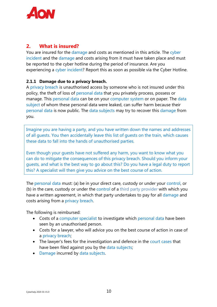

#### **2. What is insured?**

You are insured for the damage and costs as mentioned in this article. The cyber incident and the damage and costs arising from it must have taken place and must be reported to the cyber hotline during the period of insurance. Are you experiencing a cyber incident? Report this as soon as possible via the Cyber Hotline.

#### **2.1.1 Damage due to a privacy breach.**

A privacy breach is unauthorised access by someone who is not insured under this policy, the theft of loss of personal data that you privately process, possess or manage. This personal data can be on your computer system or on paper. The data subject of whom these personal data were leaked, can suffer harm because their personal data is now public. The data subjects may try to recover this damage from you.

Imagine you are having a party, and you have written down the names and addresses of all guests. You then accidentally leave this list of guests on the train, which causes these data to fall into the hands of unauthorised parties.

Even though your guests have not suffered any harm, you want to know what you can do to mitigate the consequences of this privacy breach. Should you inform your guests, and what is the best way to go about this? Do you have a legal duty to report this? A specialist will then give you advice on the best course of action.

The personal data must: (a) be in your direct care, custody or under your control, or (b) in the care, custody or under the control of a third party provider with which you have a written agreement, in which that party undertakes to pay for all damage and costs arising from a privacy breach.

The following is reimbursed:

- Costs of a computer specialist to investigate which personal data have been seen by an unauthorised person.
- Costs for a lawyer, who will advice you on the best course of action in case of a privacy breach;
- The lawyer's fees for the investigation and defence in the court cases that have been filed against you by the data subjects;
- Damage incurred by data subjects.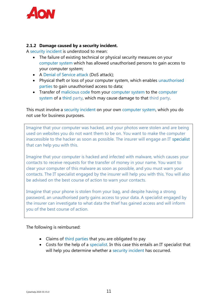

#### **2.1.2 Damage caused by a security incident.**

A security incident is understood to mean:

- The failure of existing technical or physical security measures on your computer system which has allowed unauthorised persons to gain access to your computer system;
- A Denial of Service attack (DoS attack);
- Physical theft or loss of your computer system, which enables unauthorised parties to gain unauthorised access to data;
- Transfer of malicious code from your computer system to the computer system of a third party, which may cause damage to that third party.

This must involve a security incident on your own computer system, which you do not use for business purposes.

Imagine that your computer was hacked, and your photos were stolen and are being used on websites you do not want them to be on. You want to make the computer inaccessible to the hacker as soon as possible. The insurer will engage an IT specialist that can help you with this.

Imagine that your computer is hacked and infected with malware, which causes your contacts to receive requests for the transfer of money in your name. You want to clear your computer of this malware as soon as possible, and you must warn your contacts. The IT specialist engaged by the insurer will help you with this. You will also be advised on the best course of action to warn your contacts.

Imagine that your phone is stolen from your bag, and despite having a strong password, an unauthorised party gains access to your data. A specialist engaged by the insurer can investigate to what data the thief has gained access and will inform you of the best course of action.

The following is reimbursed:

- Claims of third parties that you are obligated to pay
- Costs for the help of a specialist. In this case this entails an IT specialist that will help you determine whether a security incident has occurred.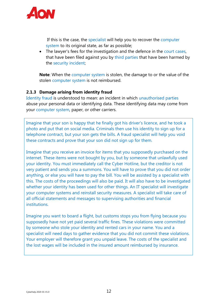

If this is the case, the specialist will help you to recover the computer system to its original state, as far as possible;

• The lawyer's fees for the investigation and the defence in the court cases, that have been filed against you by third parties that have been harmed by the security incident;

**Note**: When the computer system is stolen, the damage to or the value of the stolen computer system is not reimbursed.

#### **2.1.3 Damage arising from identity fraud**

Identity fraud is understood to mean: an incident in which unauthorised parties abuse your personal data or identifying data. These identifying data may come from your computer system, paper, or other carriers.

Imagine that your son is happy that he finally got his driver's licence, and he took a photo and put that on social media. Criminals then use his identity to sign up for a telephone contract, but your son gets the bills. A fraud specialist will help you void these contracts and prove that your son did not sign up for them.

Imagine that you receive an invoice for items that you supposedly purchased on the internet. These items were not bought by you, but by someone that unlawfully used your identity. You must immediately call the Cyber Hotline, but the creditor is not very patient and sends you a summons. You will have to prove that you did not order anything, or else you will have to pay the bill. You will be assisted by a specialist with this. The costs of the proceedings will also be paid. It will also have to be investigated whether your identity has been used for other things. An IT specialist will investigate your computer systems and reinstall security measures. A specialist will take care of all official statements and messages to supervising authorities and financial institutions.

Imagine you want to board a flight, but customs stops you from flying because you supposedly have not yet paid several traffic fines. These violations were committed by someone who stole your identity and rented cars in your name. You and a specialist will need days to gather evidence that you did not commit these violations. Your employer will therefore grant you unpaid leave. The costs of the specialist and the lost wages will be included in the insured amount reimbursed by insurance.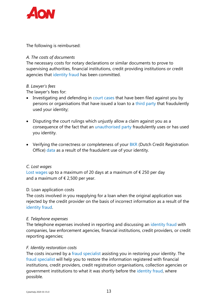

The following is reimbursed:

#### *A. The costs of documents*

The necessary costs for notary declarations or similar documents to prove to supervising authorities, financial institutions, credit providing institutions or credit agencies that identity fraud has been committed.

#### *B. Lawyer's fees*

The lawyer's fees for:

- Investigating and defending in court cases that have been filed against you by persons or organisations that have issued a loan to a third party that fraudulently used your identity;
- Disputing the court rulings which unjustly allow a claim against you as a consequence of the fact that an unauthorised party fraudulently uses or has used you identity.
- Verifying the correctness or completeness of your BKR (Dutch Credit Registration Office) data as a result of the fraudulent use of your identity.

#### *C. Lost wages*

Lost wages up to a maximum of 20 days at a maximum of  $\epsilon$  250 per day and a maximum of  $\epsilon$  2,500 per year.

#### D. Loan application costs

The costs involved in you reapplying for a loan when the original application was rejected by the credit provider on the basis of incorrect information as a result of the identity fraud.

#### *E. Telephone expenses*

The telephone expenses involved in reporting and discussing an identity fraud with companies, law enforcement agencies, financial institutions, credit providers, or credit reporting agencies;

#### *F. Identity restoration costs*

The costs incurred by a fraud specialist assisting you in restoring your identity. The fraud specialist will help you to restore the information registered with financial institutions, credit providers, credit registration organisations, collection agencies or government institutions to what it was shortly before the identity fraud, where possible.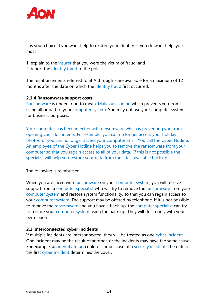

It is your choice if you want help to restore your identity. If you do want help, you must

- 1. explain to the insurer that you were the victim of fraud, and
- 2. report the identity fraud to the police.

The reimbursements referred to at A through F are available for a maximum of 12 months after the date on which the identity fraud first occurred.

#### **2.1.4 Ransomware support costs**

Ransomware is understood to mean: Malicious coding which prevents you from using all or part of your computer system. You may not use your computer system for business purposes.

Your computer has been infected with ransomware which is preventing you from opening your documents. For example, you can no longer access your holiday photos, or you can no longer access your computer at all. You call the Cyber Hotline. An employee of the Cyber Hotline helps you to remove the ransomware from your computer so that you regain access to all of your data. If this is not possible the specialist will help you restore your data from the latest available back up.

The following is reimbursed:

When you are faced with ransomware on your computer system, you will receive support from a computer specialist who will try to remove the ransomware from your computer system and restore system functionality, so that you can regain access to your computer system. The support may be offered by telephone. If it is not possible to remove the ransomware and you have a back-up, the computer specialist can try to restore your computer system using the back-up. They will do so only with your permission.

#### **2.2 Interconnected cyber incidents**

If multiple incidents are interconnected, they will be treated as one cyber incident. One incident may be the result of another, or the incidents may have the same cause. For example, an identity fraud could occur because of a security incident. The date of the first cyber incident determines the cover.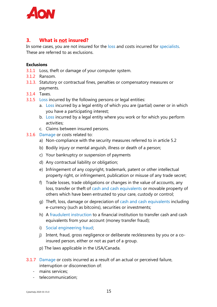

#### **3. What is not insured?**

In some cases, you are not insured for the loss and costs incurred for specialists. These are referred to as exclusions.

#### **Exclusions**

- 3.1.1 Loss, theft or damage of your computer system.
- 3.1.2 Ransom.
- 3.1.3. Statutory or contractual fines, penalties or compensatory measures or payments.
- 3.1.4 Taxes.
- 3.1.5 Loss incurred by the following persons or legal entities:
	- a. Loss incurred by a legal entity of which you are (partial) owner or in which you have a participating interest;
	- b. Loss incurred by a legal entity where you work or for which you perform activities;
	- c. Claims between insured persons.
- 3.1.6 Damage or costs related to:
	- a) Non-compliance with the security measures referred to in article 5.2
	- b) Bodily injury or mental anguish, illness or death of a person;
	- c) Your bankruptcy or suspension of payments
	- d) Any contractual liability or obligation;
	- e) Infringement of any copyright, trademark, patent or other intellectual property right, or infringement, publication or misuse of any trade secret;
	- f) Trade losses, trade obligations or changes in the value of accounts, any loss, transfer or theft of cash and cash equivalents or movable property of others which have been entrusted to your care, custody or control;
	- g) Theft, loss, damage or depreciation of cash and cash equivalents including e-currency (such as bitcoins), securities or investments;
	- h) A fraudulent instruction to a financial institution to transfer cash and cash equivalents from your account (money transfer fraud);
	- i) Social engineering fraud;
	- j) Intent, fraud, gross negligence or deliberate recklessness by you or a coinsured person, either or not as part of a group.
	- p) The laws applicable in the USA/Canada.
- 3.1.7 Damage or costs incurred as a result of an actual or perceived failure, interruption or disconnection of:
	- mains services;
	- telecommunication;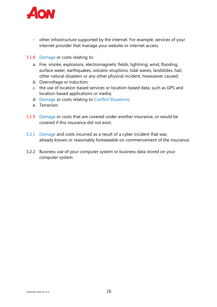

- other infrastructure supported by the internet. For example, services of your internet provider that manage your website or internet access.
- 3.1.8 Damage or costs relating to:
	- a. Fire, smoke, explosions, electromagnetic fields, lightning, wind, flooding, surface water, earthquakes, volcanic eruptions, tidal waves, landslides, hail, other natural disasters or any other physical incident, howsoever caused;
	- b. Overvoltage or induction;
	- c. the use of location-based services or location-based data, such as GPS and location-based applications or media;
	- d. Damage or costs relating to Conflict Situations;
	- e. Terrorism.
- 3.1.9 Damage or costs that are covered under another insurance, or would be covered if this insurance did not exist.
- 3.2.1 Damage and costs incurred as a result of a cyber incident that was already known or reasonably foreseeable on commencement of the insurance.
- 3.2.2 Business use of your computer system or business data stored on your computer system.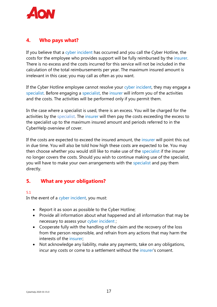

#### **4. Who pays what?**

If you believe that a cyber incident has occurred and you call the Cyber Hotline, the costs for the employee who provides support will be fully reimbursed by the insurer. There is no excess and the costs incurred for this service will not be included in the calculation of the total reimbursements per year. The maximum insured amount is irrelevant in this case; you may call as often as you want.

If the Cyber Hotline employee cannot resolve your cyber incident, they may engage a specialist. Before engaging a specialist, the insurer will inform you of the activities and the costs. The activities will be performed only if you permit them.

In the case where a specialist is used, there is an excess. You will be charged for the activities by the specialist. The insurer will then pay the costs exceeding the excess to the specialist up to the maximum insured amount and periods referred to in the CyberHelp overview of cover.

If the costs are expected to exceed the insured amount, the insurer will point this out in due time. You will also be told how high these costs are expected to be. You may then choose whether you would still like to make use of the specialist if the insurer no longer covers the costs. Should you wish to continue making use of the specialist, you will have to make your own arrangements with the specialist and pay them directly.

#### **5. What are your obligations?**

#### 5.1

In the event of a cyber incident, you must:

- Report it as soon as possible to the Cyber Hotline;
- Provide all information about what happened and all information that may be necessary to assess your cyber incident ;
- Cooperate fully with the handling of the claim and the recovery of the loss from the person responsible, and refrain from any actions that may harm the interests of the insurer;
- Not acknowledge any liability, make any payments, take on any obligations, incur any costs or come to a settlement without the insurer's consent.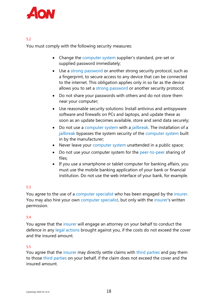

#### 5.2

You must comply with the following security measures:

- Change the computer system supplier's standard, pre-set or supplied password immediately;
- Use a strong password or another strong security protocol, such as a fingerprint, to secure access to any device that can be connected to the internet. This obligation applies only in so far as the device allows you to set a strong password or another security protocol;
- Do not share your passwords with others and do not store them near your computer;
- Use reasonable security solutions: Install antivirus and antispyware software and firewalls on PCs and laptops, and update these as soon as an update becomes available, store and send data securely;
- Do not use a computer system with a jailbreak. The installation of a jailbreak bypasses the system security of the computer system built in by the manufacturer;
- Never leave your computer system unattended in a public space;
- Do not use your computer system for the peer-to-peer sharing of files;
- If you use a smartphone or tablet computer for banking affairs, you must use the mobile banking application of your bank or financial institution. Do not use the web interface of your bank, for example.

#### 5.3

You agree to the use of a computer specialist who has been engaged by the insurer. You may also hire your own computer specialist, but only with the insurer's written permission.

#### 5.4

You agree that the insurer will engage an attorney on your behalf to conduct the defence in any legal actions brought against you, if the costs do not exceed the cover and the insured amount.

#### 5.5

You agree that the insurer may directly settle claims with third parties and pay them to those third parties on your behalf, if the claim does not exceed the cover and the insured amount.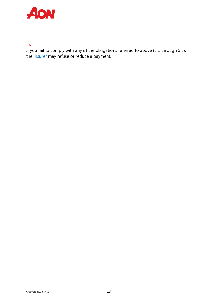

5.6

If you fail to comply with any of the obligations referred to above (5.1 through 5.5), the insurer may refuse or reduce a payment.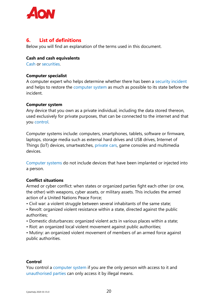

#### **6. List of definitions**

Below you will find an explanation of the terms used in this document.

#### **Cash and cash equivalents**

Cash or securities.

#### **Computer specialist**

A computer expert who helps determine whether there has been a security incident and helps to restore the computer system as much as possible to its state before the incident.

#### **Computer system**

Any device that you own as a private individual, including the data stored thereon, used exclusively for private purposes, that can be connected to the internet and that you control.

Computer systems include: computers, smartphones, tablets, software or firmware, laptops, storage media such as external hard drives and USB drives, Internet of Things (IoT) devices, smartwatches, private cars, game consoles and multimedia devices.

Computer systems do not include devices that have been implanted or injected into a person.

#### **Conflict situations**

Armed or cyber conflict: when states or organized parties fight each other (or one, the other) with weapons, cyber assets, or military assets. This includes the armed action of a United Nations Peace Force;

- Civil war: a violent struggle between several inhabitants of the same state;
- Revolt: organized violent resistance within a state, directed against the public authorities;
- Domestic disturbances: organized violent acts in various places within a state;
- Riot: an organized local violent movement against public authorities;
- Mutiny: an organized violent movement of members of an armed force against public authorities.

#### **Control**

You control a computer system if you are the only person with access to it and unauthorised parties can only access it by illegal means.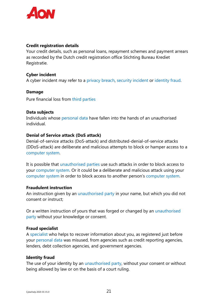

#### **Credit registration details**

Your credit details, such as personal loans, repayment schemes and payment arrears as recorded by the Dutch credit registration office Stichting Bureau Krediet Registratie.

#### **Cyber incident**

A cyber incident may refer to a privacy breach, security incident or identity fraud.

#### **Damage**

Pure financial loss from third parties

#### **Data subjects**

Individuals whose personal data have fallen into the hands of an unauthorised individual.

#### **Denial of Service attack (DoS attack)**

Denial-of-service attacks (DoS-attack) and distributed-denial-of-service attacks (DDoS-attack) are deliberate and malicious attempts to block or hamper access to a computer system.

It is possible that unauthorised parties use such attacks in order to block access to your computer system. Or it could be a deliberate and malicious attack using your computer system in order to block access to another person's computer system.

#### **Fraudulent instruction**

An instruction given by an unauthorised party in your name, but which you did not consent or instruct;

Or a written instruction of yours that was forged or changed by an unauthorised party without your knowledge or consent.

#### **Fraud specialist**

A specialist who helps to recover information about you, as registered just before your personal data was misused, from agencies such as credit reporting agencies, lenders, debt collection agencies, and government agencies.

#### **Identity fraud**

The use of your identity by an unauthorised party, without your consent or without being allowed by law or on the basis of a court ruling.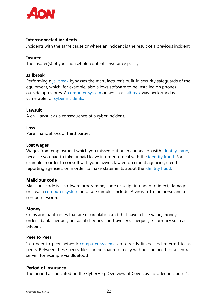

#### **Interconnected incidents**

Incidents with the same cause or where an incident is the result of a previous incident.

#### **Insurer**

The insurer(s) of your household contents insurance policy.

#### **Jailbreak**

Performing a jailbreak bypasses the manufacturer's built-in security safeguards of the equipment, which, for example, also allows software to be installed on phones outside app stores. A computer system on which a jailbreak was performed is vulnerable for cyber incidents.

#### **Lawsuit**

A civil lawsuit as a consequence of a cyber incident.

#### **Loss**

Pure financial loss of third parties

#### **Lost wages**

Wages from employment which you missed out on in connection with identity fraud, because you had to take unpaid leave in order to deal with the identity fraud. For example in order to consult with your lawyer, law enforcement agencies, credit reporting agencies, or in order to make statements about the identity fraud.

#### **Malicious code**

Malicious code is a software programme, code or script intended to infect, damage or steal a computer system or data. Examples include: A virus, a Trojan horse and a computer worm.

#### **Money**

Coins and bank notes that are in circulation and that have a face value, money orders, bank cheques, personal cheques and traveller's cheques, e-currency such as bitcoins.

#### **Peer to Peer**

In a peer-to-peer network computer systems are directly linked and referred to as peers. Between these peers, files can be shared directly without the need for a central server, for example via Bluetooth.

#### **Period of insurance**

The period as indicated on the CyberHelp Overview of Cover, as included in clause 1.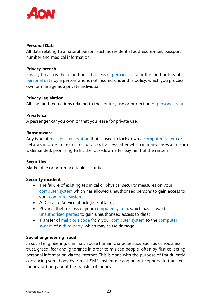

#### **Personal Data**

All data relating to a natural person, such as residential address, e-mail, passport number and medical information.

#### **Privacy breach**

Privacy breach is the unauthorised access of personal data or the theft or loss of personal data by a person who is not insured under this policy, which you process, own or manage as a private individual.

#### **Privacy legislation**

All laws and regulations relating to the control, use or protection of personal data.

#### **Private car**

A passenger car you own or that you lease for private use.

#### **Ransomware**

Any type of malicious encryption that is used to lock down a computer system or network in order to restrict or fully block access, after which in many cases a ransom is demanded, promising to lift the lock-down after payment of the ransom.

#### **Securities**

Marketable or non-marketable securities.

#### **Security incident**

- The failure of existing technical or physical security measures on your computer system which has allowed unauthorised persons to gain access to your computer system;
- A Denial of Service attack (DoS attack);
- Physical theft or loss of your computer system, which has allowed unauthorised parties to gain unauthorised access to data;
- Transfer of malicious code from your computer system to the computer system of a third party, which may cause damage.

#### **Social engineering fraud**

In social engineering, criminals abuse human characteristics, such as curiousness, trust, greed, fear and ignorance in order to mislead people, often by first collecting personal information via the internet. This is done with the purpose of fraudulently convincing somebody by e-mail, SMS, instant messaging or telephone to transfer money or bring about the transfer of money.